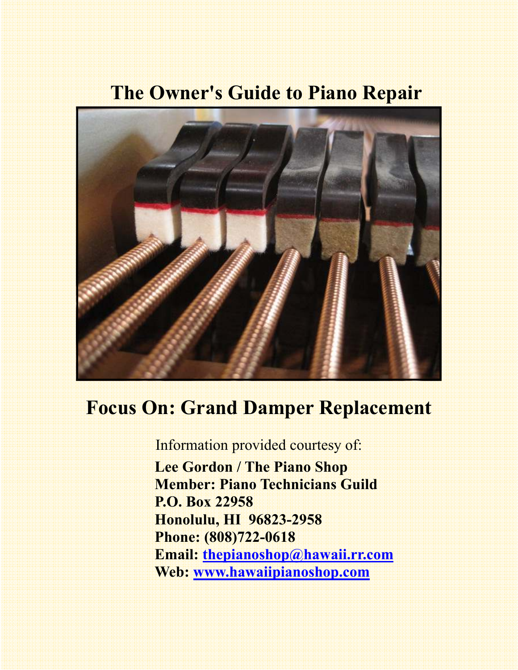# **The Owner's Guide to Piano Repair**



# **Focus On: Grand Damper Replacement**

Information provided courtesy of:

 **Lee Gordon / The Piano Shop Member: Piano Technicians Guild P.O. Box 22958 Honolulu, HI 96823-2958 Phone: (808)722-0618 Email: thepianoshop@hawaii.rr.com Web: www.hawaiipianoshop.com**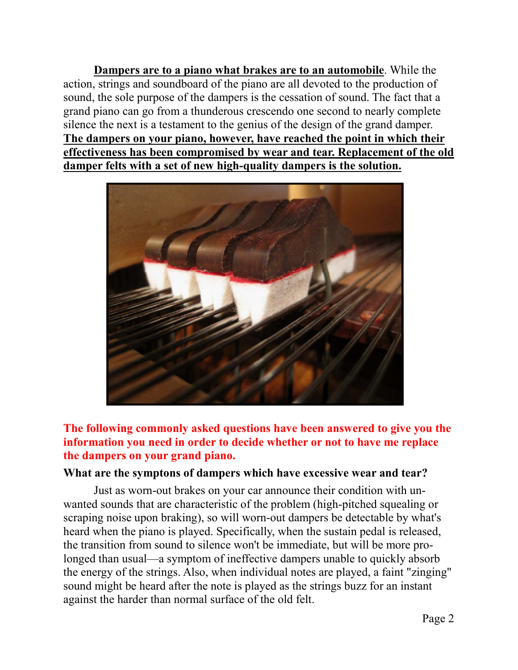**Dampers are to a piano what brakes are to an automobile**. While the action, strings and soundboard of the piano are all devoted to the production of sound, the sole purpose of the dampers is the cessation of sound. The fact that a grand piano can go from a thunderous crescendo one second to nearly complete silence the next is a testament to the genius of the design of the grand damper. **The dampers on your piano, however, have reached the point in which their effectiveness has been compromised by wear and tear. Replacement of the old damper felts with a set of new high-quality dampers is the solution.** 



**The following commonly asked questions have been answered to give you the information you need in order to decide whether or not to have me replace the dampers on your grand piano.**

### **What are the symptons of dampers which have excessive wear and tear?**

Just as worn-out brakes on your car announce their condition with unwanted sounds that are characteristic of the problem (high-pitched squealing or scraping noise upon braking), so will worn-out dampers be detectable by what's heard when the piano is played. Specifically, when the sustain pedal is released, the transition from sound to silence won't be immediate, but will be more prolonged than usual—a symptom of ineffective dampers unable to quickly absorb the energy of the strings. Also, when individual notes are played, a faint "zinging" sound might be heard after the note is played as the strings buzz for an instant against the harder than normal surface of the old felt.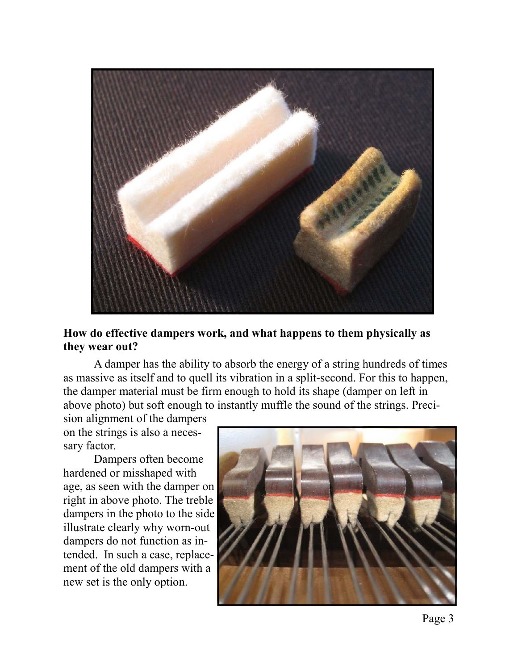

### **How do effective dampers work, and what happens to them physically as they wear out?**

 A damper has the ability to absorb the energy of a string hundreds of times as massive as itself and to quell its vibration in a split-second. For this to happen, the damper material must be firm enough to hold its shape (damper on left in above photo) but soft enough to instantly muffle the sound of the strings. Preci-

sion alignment of the dampers on the strings is also a necessary factor.

 Dampers often become hardened or misshaped with age, as seen with the damper on right in above photo. The treble dampers in the photo to the side illustrate clearly why worn-out dampers do not function as intended. In such a case, replacement of the old dampers with a new set is the only option.

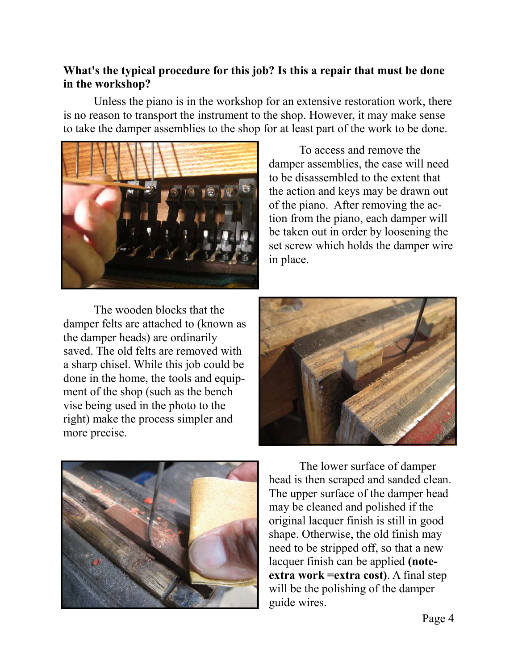## **What's the typical procedure for this job? Is this a repair that must be done in the workshop?**

 Unless the piano is in the workshop for an extensive restoration work, there is no reason to transport the instrument to the shop. However, it may make sense to take the damper assemblies to the shop for at least part of the work to be done.



 To access and remove the damper assemblies, the case will need to be disassembled to the extent that the action and keys may be drawn out of the piano. After removing the action from the piano, each damper will be taken out in order by loosening the set screw which holds the damper wire in place.

 The wooden blocks that the damper felts are attached to (known as the damper heads) are ordinarily saved. The old felts are removed with a sharp chisel. While this job could be done in the home, the tools and equipment of the shop (such as the bench vise being used in the photo to the right) make the process simpler and more precise.





The lower surface of damper head is then scraped and sanded clean. The upper surface of the damper head may be cleaned and polished if the original lacquer finish is still in good shape. Otherwise, the old finish may need to be stripped off, so that a new lacquer finish can be applied **(noteextra work =extra cost)**. A final step will be the polishing of the damper guide wires.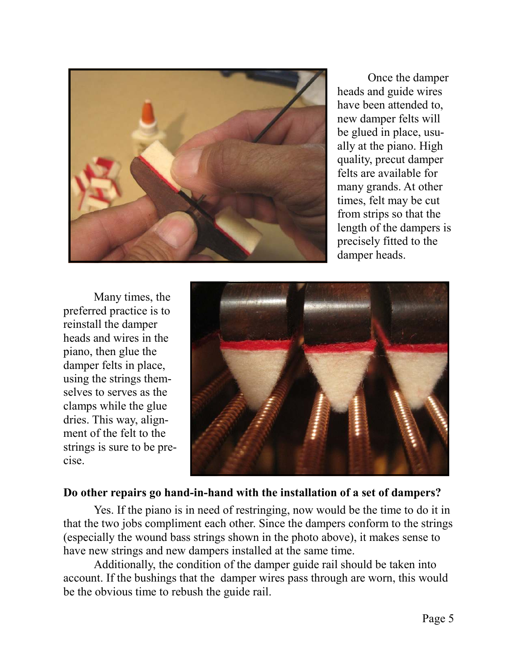

 Once the damper heads and guide wires have been attended to, new damper felts will be glued in place, usually at the piano. High quality, precut damper felts are available for many grands. At other times, felt may be cut from strips so that the length of the dampers is precisely fitted to the damper heads.

 Many times, the preferred practice is to reinstall the damper heads and wires in the piano, then glue the damper felts in place, using the strings themselves to serves as the clamps while the glue dries. This way, alignment of the felt to the strings is sure to be precise.



### **Do other repairs go hand-in-hand with the installation of a set of dampers?**

 Yes. If the piano is in need of restringing, now would be the time to do it in that the two jobs compliment each other. Since the dampers conform to the strings (especially the wound bass strings shown in the photo above), it makes sense to have new strings and new dampers installed at the same time.

 Additionally, the condition of the damper guide rail should be taken into account. If the bushings that the damper wires pass through are worn, this would be the obvious time to rebush the guide rail.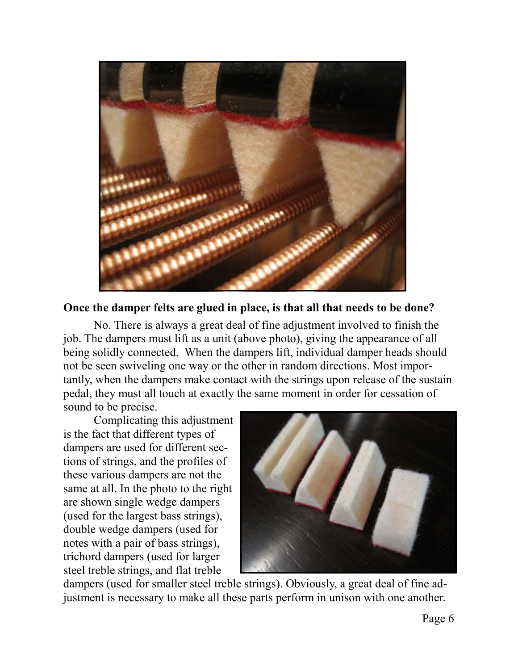

#### **Once the damper felts are glued in place, is that all that needs to be done?**

 No. There is always a great deal of fine adjustment involved to finish the job. The dampers must lift as a unit (above photo), giving the appearance of all being solidly connected. When the dampers lift, individual damper heads should not be seen swiveling one way or the other in random directions. Most importantly, when the dampers make contact with the strings upon release of the sustain pedal, they must all touch at exactly the same moment in order for cessation of sound to be precise.

 Complicating this adjustment is the fact that different types of dampers are used for different sections of strings, and the profiles of these various dampers are not the same at all. In the photo to the right are shown single wedge dampers (used for the largest bass strings), double wedge dampers (used for notes with a pair of bass strings), trichord dampers (used for larger steel treble strings, and flat treble



dampers (used for smaller steel treble strings). Obviously, a great deal of fine adjustment is necessary to make all these parts perform in unison with one another.